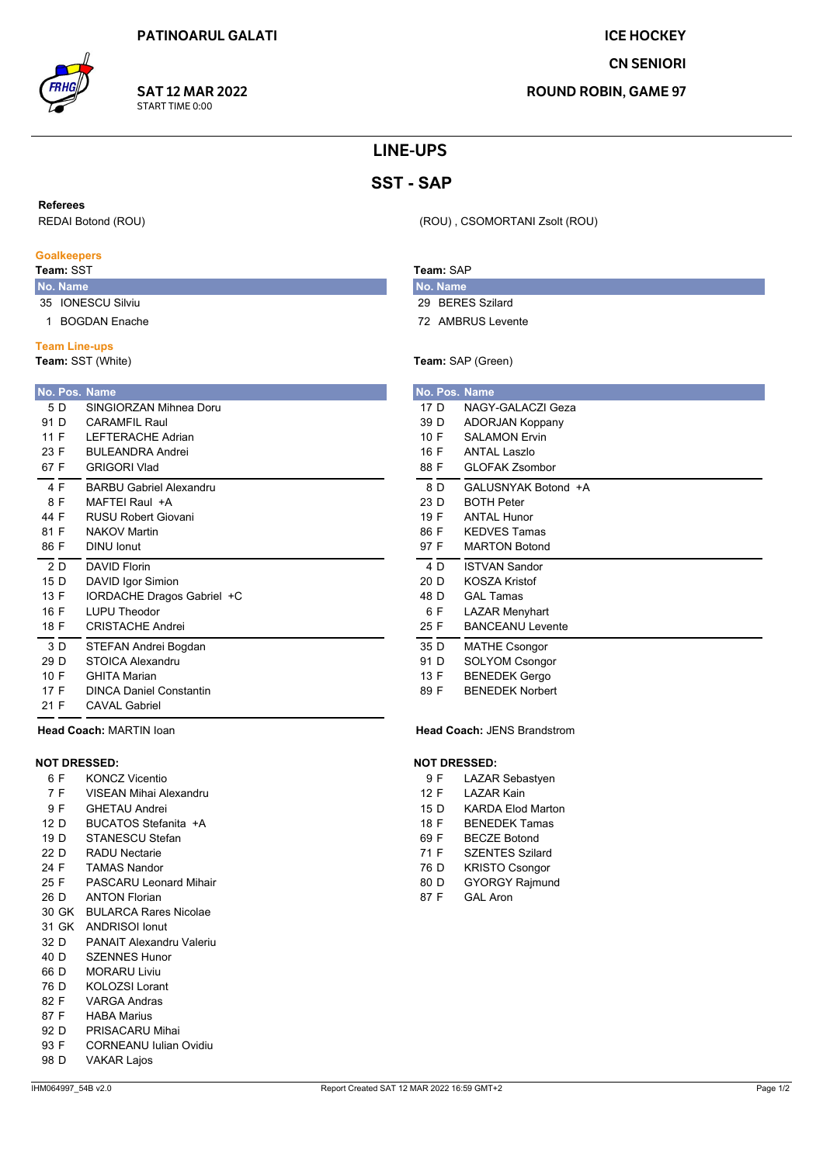

**SAT 12 MAR 2022** START TIME 0:00

# **ICE HOCKEY CN SENIORI**

**ROUND ROBIN, GAME 97** 

# **LINE-UPS**

# **SST-SAP**

#### **Referees**

REDAI Botond (ROU)

#### **Goalkeepers**

## Team: SST

No. Name 35 IONESCU Silviu

1 BOGDAN Enache

#### **Team Line-ups**

Team: SST (White)

|      |      | No. Pos. Name                  |
|------|------|--------------------------------|
|      | 5 D  | SINGIORZAN Mihnea Doru         |
| 91 D |      | CARAMEII Raul                  |
| 11 F |      | <b>I FFTFRACHF Adrian</b>      |
|      | 23 F | <b>BUI FANDRA Andrei</b>       |
| 67 F |      | <b>GRIGORI Vlad</b>            |
| 4 F  |      | <b>BARBU Gabriel Alexandru</b> |
| 8 F  |      | MAFTFI Raul +A                 |
| 44 F |      | <b>RUSU Robert Giovani</b>     |
| 81 F |      | <b>NAKOV Martin</b>            |
| 86 F |      | DINU Ionut                     |
|      | 2 D  | DAVID Florin                   |
| 15 D |      | DAVID Igor Simion              |
| 13 F |      | IORDACHE Dragos Gabriel +C     |
| 16 F |      | <b>LUPU Theodor</b>            |
| 18 F |      | CRISTACHE Andrei               |
|      | 3 D  | STEFAN Andrei Bogdan           |
| 29 D |      | STOICA Alexandru               |
| 10 F |      | <b>GHITA Marian</b>            |
| 17 F |      | <b>DINCA Daniel Constantin</b> |
| 21 F |      | CAVAL Gabriel                  |
|      |      |                                |

Head Coach: MARTIN loan

### **NOT DRESSED:**

- **KONCZ Vicentio** 6 F
- $7F$ VISEAN Mihai Alexandru
- 9 F **GHETAU Andrei**
- 12 D BUCATOS Stefanita +A
- 19 D STANESCU Stefan
- 22 D **RADU Nectarie**
- 24 F **TAMAS Nandor**
- $25 F$ **PASCARU Leonard Mihair**
- 26 D **ANTON Florian**
- 30 GK BULARCA Rares Nicolae
- 31 GK ANDRISOI Ionut
- 32 D PANAIT Alexandru Valeriu
- **SZENNES Hunor**  $40D$
- 66 D MORARU Liviu
- 76 D **KOLOZSI Lorant**
- 82 F **VARGA Andras**
- 87 F **HABA Marius**
- 92 D PRISACARU Mihai
- 93 F CORNEANU Iulian Ovidiu
- 98 D **VAKAR Lajos**

# Team: SAP

- No. Name 29 BERES Szilard
- 72 AMBRUS Levente

(ROU), CSOMORTANI Zsolt (ROU)

## Team: SAP (Green)

| No. Pos. Name |                         |
|---------------|-------------------------|
| 17 D          | NAGY-GALACZI Geza       |
| 39 D          | <b>ADORJAN Koppany</b>  |
| 10 F          | <b>SALAMON Ervin</b>    |
| 16 F          | <b>ANTAL Laszlo</b>     |
| 88 F          | <b>GLOFAK Zsombor</b>   |
| 8 D           | GALUSNYAK Botond +A     |
| 23 D          | <b>BOTH Peter</b>       |
| 19 F          | <b>ANTAL Hunor</b>      |
| 86 F          | <b>KEDVES Tamas</b>     |
| 97 F          | <b>MARTON Botond</b>    |
| 4 D           | <b>ISTVAN Sandor</b>    |
| 20 D          | <b>KOSZA Kristof</b>    |
| 48 D          | <b>GAL Tamas</b>        |
| 6 F           | <b>LAZAR Menyhart</b>   |
| 25 F          | <b>BANCEANU Levente</b> |
| 35 D          | <b>MATHE Csongor</b>    |
| 91 D          | <b>SOLYOM Csongor</b>   |
| 13 F          | <b>BENEDEK Gergo</b>    |
| 89 F          | <b>BENEDEK Norbert</b>  |

### **Head Coach: JENS Brandstrom**

#### **NOT DRESSED:**

- $9F$ **LAZAR Sebastyen**
- 12 F **LAZAR Kain**
- $15D$ **KARDA Elod Marton**
- 18 F **BENEDEK Tamas**
- 69 F **BECZE Botond**
- **SZENTES Szilard** 71 F
- 76 D **KRISTO Csongor**
- 80 D **GYORGY Rajmund**
- 87 F **GAL Aron**